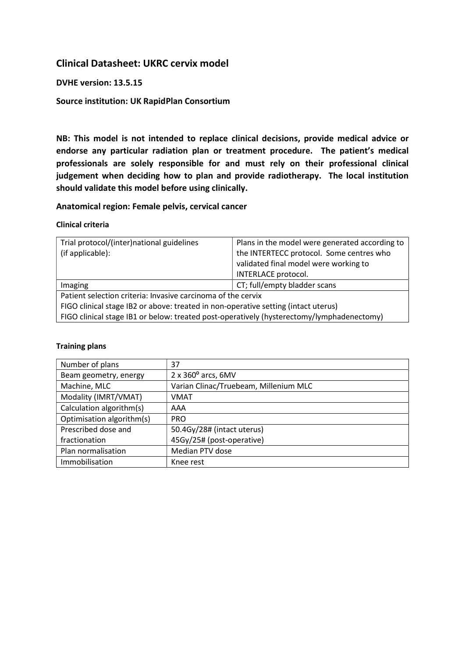# Clinical Datasheet: UKRC cervix model

### DVHE version: 13.5.15

### Source institution: UK RapidPlan Consortium

NB: This model is not intended to replace clinical decisions, provide medical advice or endorse any particular radiation plan or treatment procedure. The patient's medical professionals are solely responsible for and must rely on their professional clinical judgement when deciding how to plan and provide radiotherapy. The local institution should validate this model before using clinically.

#### Anatomical region: Female pelvis, cervical cancer

#### Clinical criteria

| Trial protocol/(inter)national guidelines                                                 | Plans in the model were generated according to |  |
|-------------------------------------------------------------------------------------------|------------------------------------------------|--|
| (if applicable):                                                                          | the INTERTECC protocol. Some centres who       |  |
|                                                                                           | validated final model were working to          |  |
|                                                                                           | INTERLACE protocol.                            |  |
| Imaging                                                                                   | CT; full/empty bladder scans                   |  |
| Patient selection criteria: Invasive carcinoma of the cervix                              |                                                |  |
| FIGO clinical stage IB2 or above: treated in non-operative setting (intact uterus)        |                                                |  |
| FIGO clinical stage IB1 or below: treated post-operatively (hysterectomy/lymphadenectomy) |                                                |  |

#### Training plans

| Number of plans           | 37                                    |
|---------------------------|---------------------------------------|
| Beam geometry, energy     | $2 \times 360^{\circ}$ arcs, 6MV      |
| Machine, MLC              | Varian Clinac/Truebeam, Millenium MLC |
| Modality (IMRT/VMAT)      | <b>VMAT</b>                           |
| Calculation algorithm(s)  | AAA                                   |
| Optimisation algorithm(s) | <b>PRO</b>                            |
| Prescribed dose and       | 50.4Gy/28# (intact uterus)            |
| fractionation             | 45Gy/25# (post-operative)             |
| Plan normalisation        | Median PTV dose                       |
| Immobilisation            | Knee rest                             |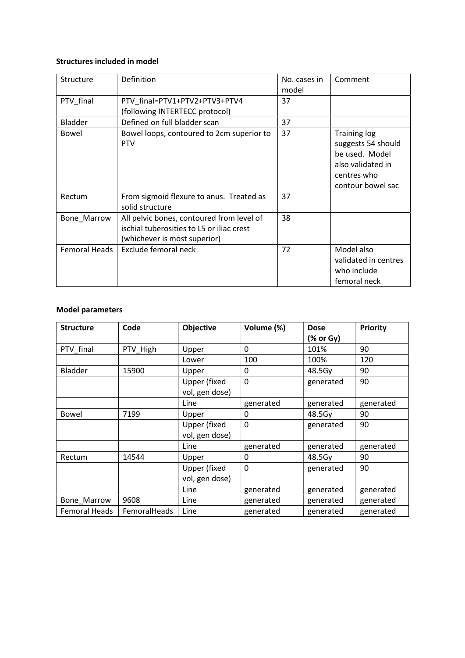#### Structures included in model

| Structure      | Definition                                                                                                             | No. cases in<br>model | Comment                                                                                                              |
|----------------|------------------------------------------------------------------------------------------------------------------------|-----------------------|----------------------------------------------------------------------------------------------------------------------|
| PTV_final      | PTV_final=PTV1+PTV2+PTV3+PTV4<br>(following INTERTECC protocol)                                                        | 37                    |                                                                                                                      |
| <b>Bladder</b> | Defined on full bladder scan                                                                                           | 37                    |                                                                                                                      |
| Bowel          | Bowel loops, contoured to 2cm superior to<br><b>PTV</b>                                                                | 37                    | <b>Training log</b><br>suggests 54 should<br>be used. Model<br>also validated in<br>centres who<br>contour bowel sac |
| Rectum         | From sigmoid flexure to anus. Treated as<br>solid structure                                                            | 37                    |                                                                                                                      |
| Bone Marrow    | All pelvic bones, contoured from level of<br>ischial tuberosities to L5 or iliac crest<br>(whichever is most superior) | 38                    |                                                                                                                      |
| Femoral Heads  | Exclude femoral neck                                                                                                   | 72                    | Model also<br>validated in centres<br>who include<br>femoral neck                                                    |

## Model parameters

| <b>Structure</b> | Code         | Objective                             | Volume (%)  | <b>Dose</b><br>$(%$ or Gy) | <b>Priority</b> |
|------------------|--------------|---------------------------------------|-------------|----------------------------|-----------------|
| PTV final        | PTV High     | Upper                                 | 0           | 101%                       | 90              |
|                  |              | Lower                                 | 100         | 100%                       | 120             |
| <b>Bladder</b>   | 15900        | Upper                                 | 0           | 48.5Gy                     | 90              |
|                  |              | <b>Upper (fixed</b><br>vol, gen dose) | $\Omega$    | generated                  | 90              |
|                  |              | Line                                  | generated   | generated                  | generated       |
| Bowel            | 7199         | Upper                                 | 0           | 48.5Gy                     | 90              |
|                  |              | Upper (fixed<br>vol, gen dose)        | 0           | generated                  | 90              |
|                  |              | Line                                  | generated   | generated                  | generated       |
| Rectum           | 14544        | Upper                                 | 0           | 48.5Gy                     | 90              |
|                  |              | <b>Upper (fixed</b><br>vol, gen dose) | $\mathbf 0$ | generated                  | 90              |
|                  |              | Line                                  | generated   | generated                  | generated       |
| Bone_Marrow      | 9608         | Line                                  | generated   | generated                  | generated       |
| Femoral Heads    | FemoralHeads | Line                                  | generated   | generated                  | generated       |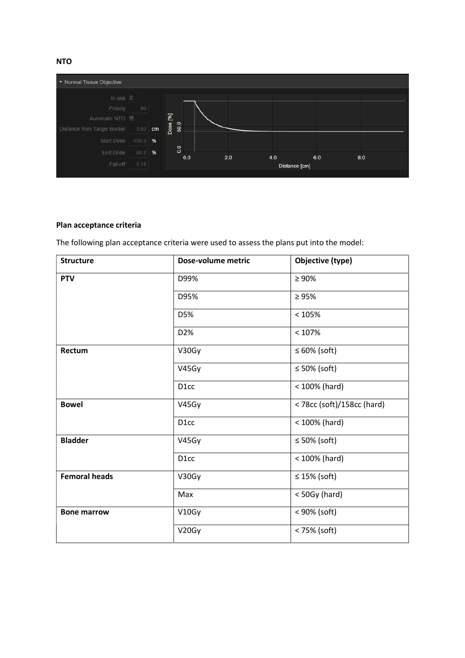NTO



## Plan acceptance criteria

The following plan acceptance criteria were used to assess the plans put into the model:

| <b>Structure</b>     | Dose-volume metric | Objective (type)           |
|----------------------|--------------------|----------------------------|
| <b>PTV</b>           | D99%               | $\geq 90\%$                |
|                      | D95%               | $\geq 95\%$                |
|                      | D5%                | < 105%                     |
|                      | D2%                | < 107%                     |
| Rectum               | V30Gy              | $\leq 60\%$ (soft)         |
|                      | V45Gy              | $\leq 50\%$ (soft)         |
|                      | D <sub>1</sub> cc  | < 100% (hard)              |
| <b>Bowel</b>         | V45Gy              | < 78cc (soft)/158cc (hard) |
|                      | D <sub>1</sub> cc  | $< 100\%$ (hard)           |
| <b>Bladder</b>       | V45Gy              | $\leq$ 50% (soft)          |
|                      | D <sub>1</sub> cc  | < 100% (hard)              |
| <b>Femoral heads</b> | V30Gy              | $\leq$ 15% (soft)          |
|                      | Max                | $<$ 50Gy (hard)            |
| <b>Bone marrow</b>   | V10Gy              | < 90% (soft)               |
|                      | V20Gy              | < 75% (soft)               |